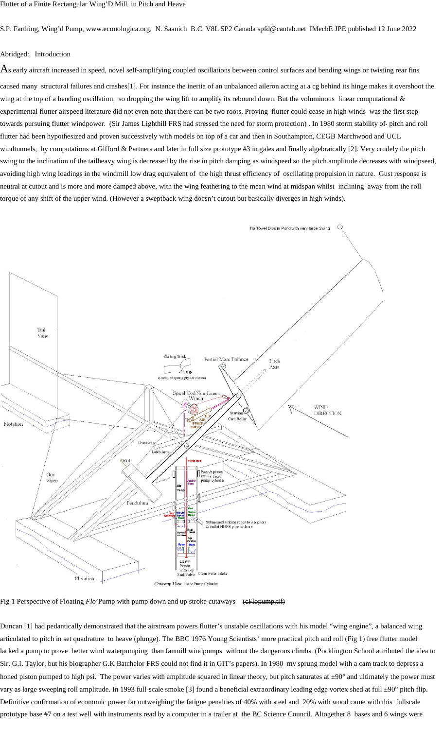S.P. Farthing, Wing'd Pump, www.econologica.org, N. Saanich B.C. V8L 5P2 Canada spfd@cantab.net IMechE JPE published 12 June 2022

## Abridged: Introduction

 $A$ s early aircraft increased in speed, novel self-amplifying coupled oscillations between control surfaces and bending wings or twisting rear fins

caused many structural failures and crashes[1]. For instance the inertia of an unbalanced aileron acting at a cg behind its hinge makes it overshoot the wing at the top of a bending oscillation, so dropping the wing lift to amplify its rebound down. But the voluminous linear computational  $\&$ experimental flutter airspeed literature did not even note that there can be two roots. Proving flutter could cease in high winds was the first step towards pursuing flutter windpower. (Sir James Lighthill FRS had stressed the need for storm protection) . In 1980 storm stability of pitch and roll flutter had been hypothesized and proven successively with models on top of a car and then in Southampton, CEGB Marchwood and UCL windtunnels, by computations at Gifford & Partners and later in full size prototype #3 in gales and finally algebraically [2]. Very crudely the pitch swing to the inclination of the tailheavy wing is decreased by the rise in pitch damping as windspeed so the pitch amplitude decreases with windpseed, avoiding high wing loadings in the windmill low drag equivalent of the high thrust efficiency of oscillating propulsion in nature. Gust response is neutral at cutout and is more and more damped above, with the wing feathering to the mean wind at midspan whilst inclining away from the roll torque of any shift of the upper wind. (However a sweptback wing doesn't cutout but basically diverges in high winds).



Fig 1 Perspective of Floating *Flo*'Pump with pump down and up stroke cutaways (eFlopump.tif)

Duncan [1] had pedantically demonstrated that the airstream powers flutter's unstable oscillations with his model "wing engine", a balanced wing articulated to pitch in set quadrature to heave (plunge). The BBC 1976 Young Scientists' more practical pitch and roll (Fig 1) free flutter model lacked a pump to prove better wind waterpumping than fanmill windpumps without the dangerous climbs. (Pocklington School attributed the idea to Sir. G.I. Taylor, but his biographer G.K Batchelor FRS could notfind it in GIT's papers). In 1980 my sprung model with a cam track to depress a honed piston pumped to high psi. The power varies with amplitude squared in linear theory, but pitch saturates at  $\pm 90^\circ$  and ultimately the power must vary as large sweeping roll amplitude. In 1993 full-scale smoke [3] found a beneficial extraordinary leading edge vortex shed at full ±90° pitch flip. Definitive confirmation of economic power far outweighing the fatigue penalties of 40% with steel and 20% with wood came with this fullscale prototype base #7 on a test well with instruments read by a computer in a trailer at the BC Science Council. Altogether 8 bases and 6 wings were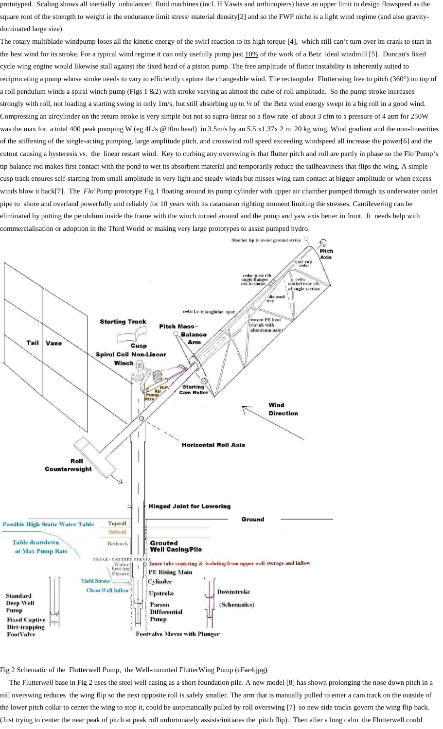prototyped. Scaling shows all inertially unbalanced fluid machines (incl. H Vawts and orthinopters) have an upper limit to design flowspeed as the square root of the strength to weight ie the endurance limit stress/material density[2] and so the FWP niche is a light wind regime (and also gravitydominated large size)

The rotary multiblade windpump loses all the kinetic energy of the swirl reaction to its high torque [4], which still can't turn over its crank to start in the best wind for its stroke. For a typical wind regime it can only usefully pump just 10% of the work of a Betz ideal windmill [5]. Duncan's fixed cycle wing engine would likewise stall against the fixed head of a piston pump. The free amplitude of flutter instability is inherently suited to reciprocating a pump whose stroke needs to vary to efficiently capture the changeable wind. The rectangular Flutterwing free to pitch (360°) on top of a roll pendulum winds a spiral winch pump (Figs  $1 \& 2$ ) with stroke varying as almost the cube of roll amplitude. So the pump stroke increases strongly with roll, not loading a starting swing in only 1m/s, but still absorbing up to 1/2 of the Betz wind energy swept in a big roll in a good wind. Compressing an aircylinder on the return stroke is very simple but not so supra-linear so a flow rate of about 3 cfm to a pressure of 4 atm for 250W was the max for a total 400 peak pumping W (eg 4L/s @10m head) in 3.5m/s by an 5.5 x1.37x.2 m 20 kg wing. Wind gradient and the non-linearities of the stiffening of the single-acting pumping, large amplitude pitch, and crosswind roll speed exceeding windspeed all increase the power[6] and the cutout causing a hysteresis vs. the linear restart wind. Key to curbing any overswing is that flutter pitch and roll are partly in phase so the Flo'Pump's tip balance rod makes first contact with the pond to wet its absorbent material and temporarily reduce the tailheaviness that flips the wing. A simple cusp track ensures self-starting from small amplitude in very light and steady winds but misses wing cam contact at bigger amplitude or when excess winds blow it back[7]. The *Flo*'Pump prototype Fig 1 floating around its pump cylinder with upper air chamber pumped through its underwater outlet pipe to shore and overland powerfully and reliably for 10 years with its catamaran righting moment limiting the stresses. Cantilevering can be eliminated by putting the pendulum inside the frame with the winch turned around and the pump and yaw axis better in front. It needs help with commercialisation or adoption in the Third World or making very large prototypes to assist pumped hydro.



Fig 2 Schematic of the Flutterwell Pump, the Well-mounted FlutterWing Pump (cFar4.jpg)

The Flutter*well* base in Fig 2 uses the steel well casing as a short foundation pile. A new model [8] has shown prolonging the nose down pitch in a roll overswing reduces the wing flip so the next opposite roll is safely smaller. The arm that is manually pulled to enter a cam track on the outside of the lower pitch collar to center the wing to stop it, could be automatically pulled by roll overswing [7] so new side tracks govern the wing flip back. (Just trying to center the near peak of pitch at peak roll unfortunately assists/initiates the pitch flip).. Then after a long calm the Flutterwell could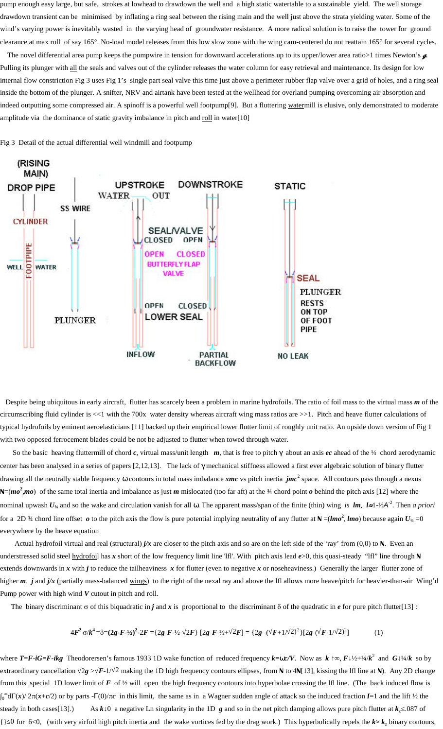pump enough easy large, but safe, strokes at lowhead to drawdown the well and a high static watertable to a sustainable yield. The well storage drawdown transient can be minimised by inflating a ring seal between the rising main and the well just above the strata yielding water. Some of the wind's varying power is inevitably wasted in the varying head of groundwater resistance. A more radical solution is to raise the tower for ground clearance at max roll of say 165°. No-load model releases from this low slow zone with the wing cam-centered do not reattain 165° for several cycles.

The novel differential area pump keeps the pumpwire in tension for downward accelerations up to its upper/lower area ratio>1 times Newton's  $\alpha$ Pulling its plunger with all the seals and valves out of the cylinder releases the water column for easy retrieval and maintenance. Its design for low internal flow constriction Fig 3 uses Fig 1's single part seal valve this time just above a perimeter rubber flap valve over a grid of holes, and a ring seal inside the bottom of the plunger. A snifter, NRV and airtank have been tested at the wellhead for overland pumping overcoming air absorption and indeed outputting some compressed air. A spinoff is a powerful well footpump[9]. But a fluttering watermill is elusive, only demonstrated to moderate amplitude via the dominance of static gravity imbalance in pitch and roll in water[10]

Fig 3 Detail of the actual differential well windmill and footpump



Despite being ubiquitous in early aircraft, flutter has scarcely been a problem in marine hydrofoils. The ratio of foil mass to the virtual mass *m* of the circumscribing fluid cylinder is <<1 with the 700x water density whereas aircraft wing mass ratios are >>1. Pitch and heave flutter calculations of typical hydrofoils by eminent aeroelasticians [11] backed up their empirical lower flutter limit of roughly unit ratio. An upside down version of Fig 1 with two opposed ferrocement blades could be not be adjusted to flutter when towed through water.

So the basic heaving fluttermill of chord  $c$ , virtual mass/unit length  $m$ , that is free to pitch  $x$  about an axis  $ec$  ahead of the 1/4 chord aerodynamic center has been analysed in a series of papers [2,12,13]. The lack oflx mechanical stiffness allowed a first ever algebraic solution of binary flutter drawing all the neutrally stable frequency Š contours in total mass imbalance *xmc* vs pitch inertia *jmc*<sup>2</sup> space. All contours pass through a nexus **N**=(*mo* **2** ,*mo*) of the same total inertia and imbalance as just *m* mislocated (too far aft) at the ¾ chord point *o* behind the pitch axis [12] where the nominal upwash *U*<sub>¼</sub> and so the wake and circulation vanish for all Š. The apparent mass/span of the finite (thin) wing *is lm, l≈*1-½*A*<sup>-2</sup>. Then *a priori* for a 2D  $\frac{3}{4}$  chord line offset  $o$  to the pitch axis the flow is pure potential implying neutrality of any flutter at  $N = (lmo^2, lmo)$  because again  $U_{\frac{3}{4}} = 0$ everywhere by the heave equation

Actual hydrofoil virtual and real (structural) *j/x* are closer to the pitch axis and so are on the left side of the 'ray' from (0,0) to **N**. Even an understressed solid steel hydrofoil has *x* short of the low frequency limit line 'lfl'. With pitch axis lead *e*>0, this quasi-steady "lfl" line through **N** extends downwards in *x* with *j* to reduce the tailheaviness *x* for flutter (even to negative *x* or noseheaviness.) Generally the larger flutter zone of higher *m*, *j* and *j/x* (partially mass-balanced wings) to the right of the nexal ray and above the lfl allows more heave/pitch for heavier-than-air Wing'd Pump power with high wind *V* cutout in pitch and roll.

The binary discriminant  $\sigma$  of this biquadratic in *j* and *x* is proportional to the discriminant  $\delta$  of the quadratic in *e* for pure pitch flutter[13] :

$$
4F^2 \sigma/k^4 = \delta = (2g - F - 1/2)^2 - 2F = \{2g - F - 1/2 - 2F\} \left[2g - F - 1/2 + 2F\right] = \{2g - (F + 1/2)^2\} \left[2g - (F - 1/2)^2\right] \tag{1}
$$

where *T*=*F*-*iG=F-ikg* Theodorersen's famous 1933 1D wake function of reduced frequency *k=c/V*. Now as *k* ↑∞, *F* ½+¼/*k* <sup>2</sup> and *G* ¼/*k* so by extraordinary cancellation √2*g* > *F*-1/√2 making the 1D high frequency contours ellipses, from **N** to 4**N**[13], kissing the lfl line at **N**). Any 2D change from this special 1D lower limit of *F* of ½ will open the high frequency contours into hyperbolae crossing the lfl line. (The back induced flow is  $_0$  d $\Gamma(x)/2\pi(x+c/2)$  or by parts -X(0)/ $\pi c$  in this limit, the same as in a Wagner sudden angle of attack so the induced fraction *I*=1 and the lift ½ the steady in both cases[13].) As *k* 0 a negative Ln singularity in the 1D *g* and so in the net pitch damping allows pure pitch flutter at  $k_z$  .087 of {}≤0 for <0, (with very airfoil high pitch inertia and the wake vortices fed by the drag work.) This hyperbolically repels the *k k*<sup>z</sup> binary contours,